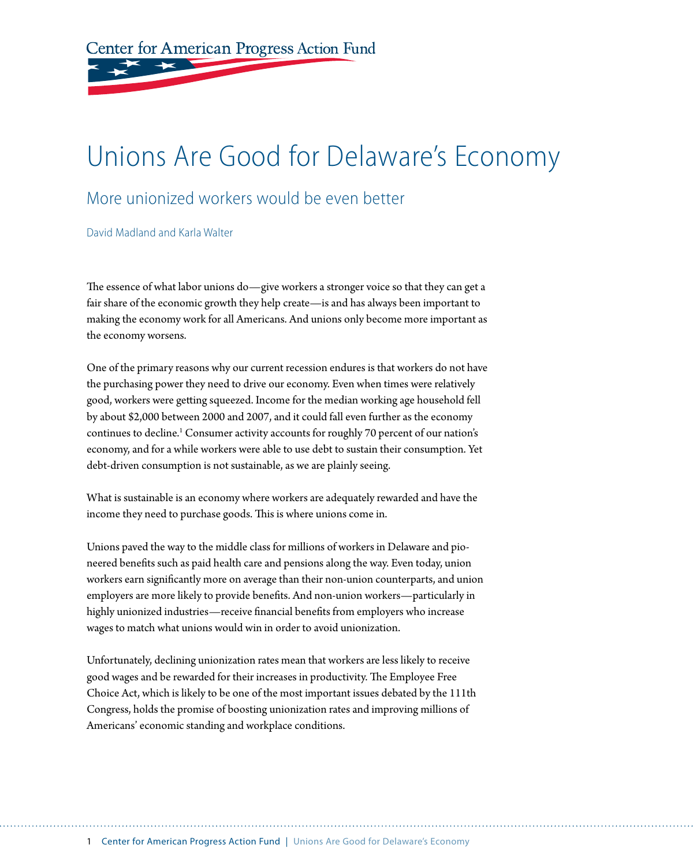Center for American Progress Action Fund

# Unions Are Good for Delaware's Economy

## More unionized workers would be even better

David Madland and Karla Walter

The essence of what labor unions do—give workers a stronger voice so that they can get a fair share of the economic growth they help create—is and has always been important to making the economy work for all Americans. And unions only become more important as the economy worsens.

One of the primary reasons why our current recession endures is that workers do not have the purchasing power they need to drive our economy. Even when times were relatively good, workers were getting squeezed. Income for the median working age household fell by about \$2,000 between 2000 and 2007, and it could fall even further as the economy continues to decline.<sup>1</sup> Consumer activity accounts for roughly 70 percent of our nation's economy, and for a while workers were able to use debt to sustain their consumption. Yet debt-driven consumption is not sustainable, as we are plainly seeing.

What is sustainable is an economy where workers are adequately rewarded and have the income they need to purchase goods. This is where unions come in.

Unions paved the way to the middle class for millions of workers in Delaware and pioneered benefits such as paid health care and pensions along the way. Even today, union workers earn significantly more on average than their non-union counterparts, and union employers are more likely to provide benefits. And non-union workers—particularly in highly unionized industries—receive financial benefits from employers who increase wages to match what unions would win in order to avoid unionization.

Unfortunately, declining unionization rates mean that workers are less likely to receive good wages and be rewarded for their increases in productivity. The Employee Free Choice Act, which is likely to be one of the most important issues debated by the 111th Congress, holds the promise of boosting unionization rates and improving millions of Americans' economic standing and workplace conditions.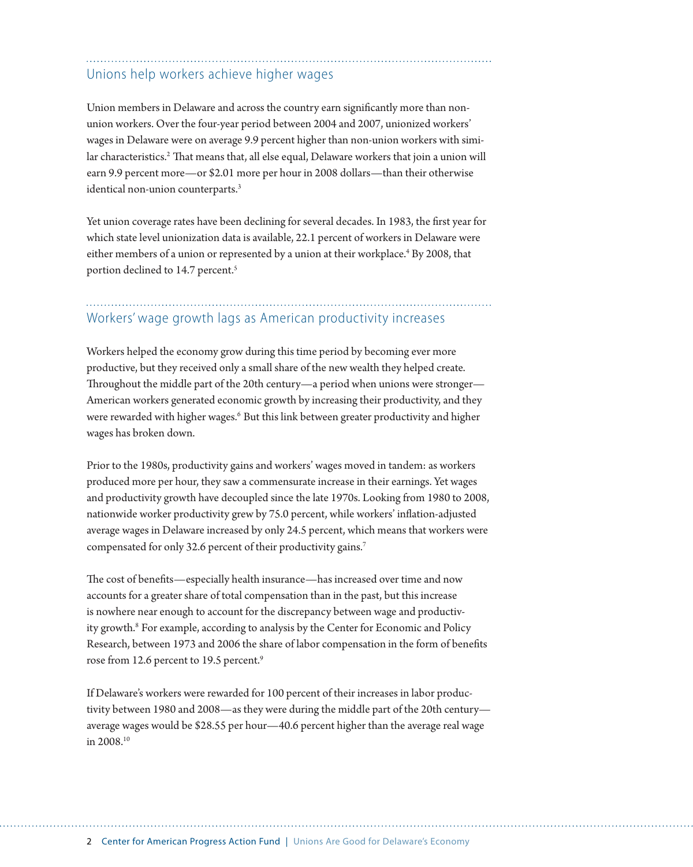## Unions help workers achieve higher wages

Union members in Delaware and across the country earn significantly more than nonunion workers. Over the four-year period between 2004 and 2007, unionized workers' wages in Delaware were on average 9.9 percent higher than non-union workers with similar characteristics.<sup>2</sup> That means that, all else equal, Delaware workers that join a union will earn 9.9 percent more—or \$2.01 more per hour in 2008 dollars—than their otherwise identical non-union counterparts.3

Yet union coverage rates have been declining for several decades. In 1983, the first year for which state level unionization data is available, 22.1 percent of workers in Delaware were either members of a union or represented by a union at their workplace.<sup>4</sup> By 2008, that portion declined to 14.7 percent.<sup>5</sup>

## Workers' wage growth lags as American productivity increases

Workers helped the economy grow during this time period by becoming ever more productive, but they received only a small share of the new wealth they helped create. Throughout the middle part of the 20th century—a period when unions were stronger— American workers generated economic growth by increasing their productivity, and they were rewarded with higher wages.<sup>6</sup> But this link between greater productivity and higher wages has broken down.

Prior to the 1980s, productivity gains and workers' wages moved in tandem: as workers produced more per hour, they saw a commensurate increase in their earnings. Yet wages and productivity growth have decoupled since the late 1970s. Looking from 1980 to 2008, nationwide worker productivity grew by 75.0 percent, while workers' inflation-adjusted average wages in Delaware increased by only 24.5 percent, which means that workers were compensated for only 32.6 percent of their productivity gains.<sup>7</sup>

The cost of benefits—especially health insurance—has increased over time and now accounts for a greater share of total compensation than in the past, but this increase is nowhere near enough to account for the discrepancy between wage and productivity growth.<sup>8</sup> For example, according to analysis by the Center for Economic and Policy Research, between 1973 and 2006 the share of labor compensation in the form of benefits rose from 12.6 percent to 19.5 percent.<sup>9</sup>

If Delaware's workers were rewarded for 100 percent of their increases in labor productivity between 1980 and 2008—as they were during the middle part of the 20th century average wages would be \$28.55 per hour—40.6 percent higher than the average real wage in 2008.10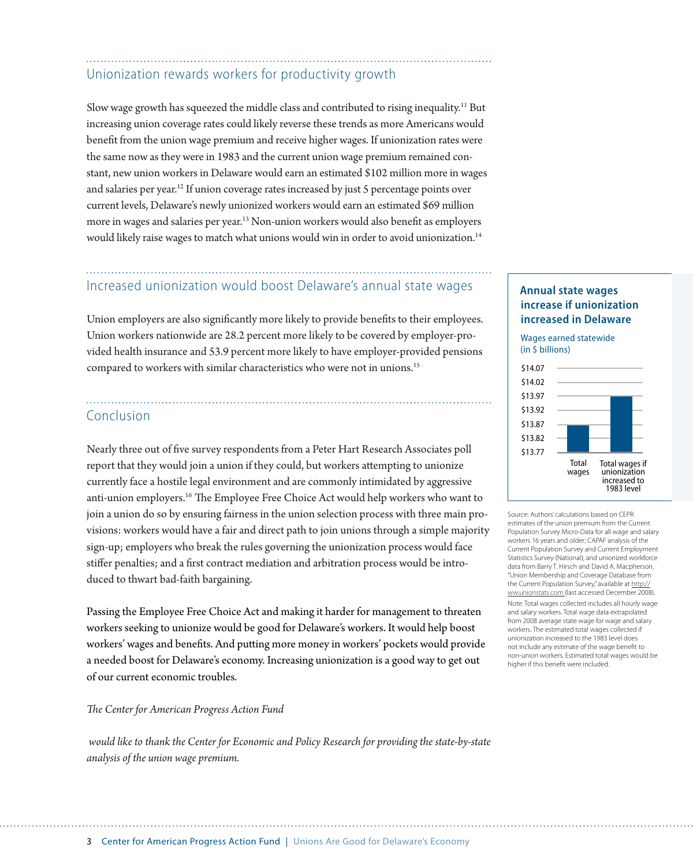## Unionization rewards workers for productivity growth

Slow wage growth has squeezed the middle class and contributed to rising inequality.11 But increasing union coverage rates could likely reverse these trends as more Americans would benefit from the union wage premium and receive higher wages. If unionization rates were the same now as they were in 1983 and the current union wage premium remained constant, new union workers in Delaware would earn an estimated \$102 million more in wages and salaries per year.<sup>12</sup> If union coverage rates increased by just 5 percentage points over current levels, Delaware's newly unionized workers would earn an estimated \$69 million more in wages and salaries per year.13 Non-union workers would also benefit as employers would likely raise wages to match what unions would win in order to avoid unionization.14

## Increased unionization would boost Delaware's annual state wages

Union employers are also significantly more likely to provide benefits to their employees. Union workers nationwide are 28.2 percent more likely to be covered by employer-provided health insurance and 53.9 percent more likely to have employer-provided pensions compared to workers with similar characteristics who were not in unions.<sup>15</sup>

### Conclusion

Nearly three out of five survey respondents from a Peter Hart Research Associates poll report that they would join a union if they could, but workers attempting to unionize currently face a hostile legal environment and are commonly intimidated by aggressive anti-union employers.16 The Employee Free Choice Act would help workers who want to join a union do so by ensuring fairness in the union selection process with three main provisions: workers would have a fair and direct path to join unions through a simple majority sign-up; employers who break the rules governing the unionization process would face stiffer penalties; and a first contract mediation and arbitration process would be introduced to thwart bad-faith bargaining.

Passing the Employee Free Choice Act and making it harder for management to threaten workers seeking to unionize would be good for Delaware's workers. It would help boost workers' wages and benefits. And putting more money in workers' pockets would provide a needed boost for Delaware's economy. Increasing unionization is a good way to get out of our current economic troubles.

#### *The Center for American Progress Action Fund*

 *would like to thank the Center for Economic and Policy Research for providing the state-by-state analysis of the union wage premium.* 

### **Annual state wages increase if unionization increased in Delaware**

Wages earned statewide (in \$ billions)



Source: Authors' calculations based on CEPR estimates of the union premium from the Current Population Survey Micro-Data for all wage and salary workers 16 years and older; CAPAF analysis of the Current Population Survey and Current Employment Statistics Survey (National); and unionized workforce data from Barry T. Hirsch and David A. Macpherson, "Union Membership and Coverage Database from the Current Population Survey," available at http:// ww.unionstats.com (last accessed December 2008). Note: Total wages collected includes all hourly wage and salary workers. Total wage data extrapolated from 2008 average state wage for wage and salary workers. The estimated total wages collected if unionization increased to the 1983 level does not include any estimate of the wage benefit to non-union workers. Estimated total wages would be higher if this benefit were included.